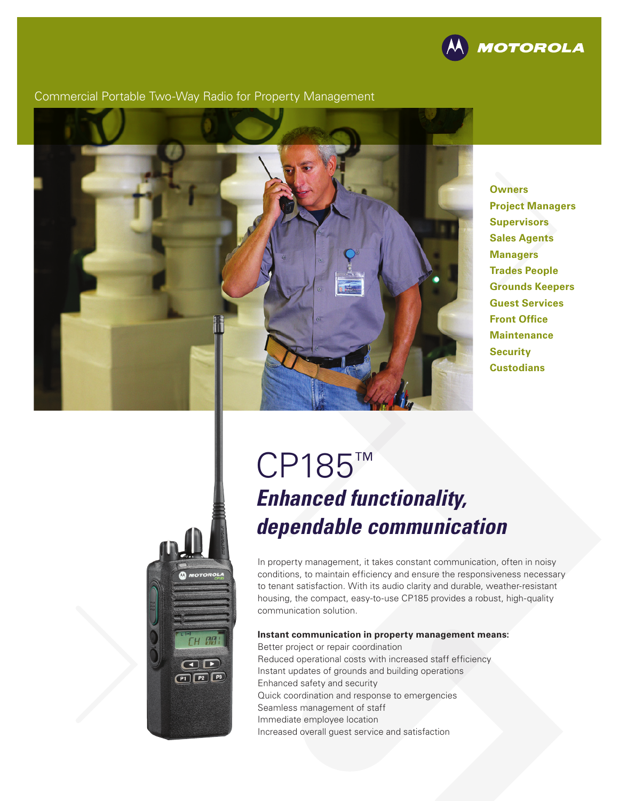

#### Commercial Portable Two-Way Radio for Property Management



**Owners Project Managers Supervisors Sales Agents Managers Trades People Grounds Keepers Guest Services Front Office Maintenance Security Custodians**

# **H AM**  $\bigcirc$  $P1$  $P2$  $P3$

# CP185™ *Enhanced functionality, dependable communication*

In property management, it takes constant communication, often in noisy conditions, to maintain efficiency and ensure the responsiveness necessary to tenant satisfaction. With its audio clarity and durable, weather-resistant housing, the compact, easy-to-use CP185 provides a robust, high-quality communication solution.

#### **Instant communication in property management means:**

Better project or repair coordination Reduced operational costs with increased staff efficiency Instant updates of grounds and building operations Enhanced safety and security Quick coordination and response to emergencies Seamless management of staff Immediate employee location Increased overall guest service and satisfaction